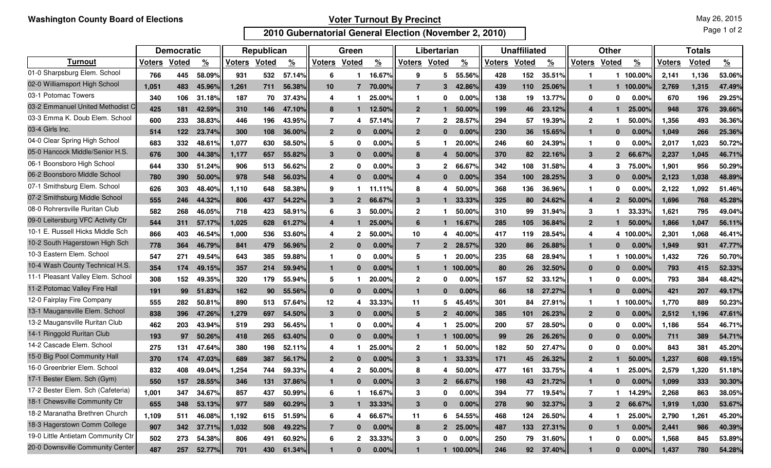## **Voter Turnout By Precinct**

May 26, 2015

**2010 Gubernatorial General Election (November 2, 2010)**

Page 1 of 2

|                                    | <b>Democratic</b> |              |               | Republican |              |               | Green          |               |               | Libertarian      |                |                    | <b>Unaffiliated</b> |              |               | <b>Other</b>   |                |               | <b>Totals</b> |       |               |
|------------------------------------|-------------------|--------------|---------------|------------|--------------|---------------|----------------|---------------|---------------|------------------|----------------|--------------------|---------------------|--------------|---------------|----------------|----------------|---------------|---------------|-------|---------------|
| <b>Turnout</b>                     | <b>Voters</b>     | <b>Voted</b> | $\frac{9}{6}$ | Voters     | <b>Voted</b> | $\frac{9}{6}$ | Voters         | Voted         | $\frac{9}{6}$ | Voters           | Voted          | $\frac{9}{6}$      | Voters              | <b>Voted</b> | $\frac{9}{6}$ | <b>Voters</b>  | <b>Voted</b>   | $\frac{9}{6}$ | <b>Voters</b> | Voted | $\frac{9}{6}$ |
| 01-0 Sharpsburg Elem. School       | 766               | 445          | 58.09%        | 931        | 532          | 57.14%        | 6              |               | 16.67%        | 9                | 5              | 55.56%             | 428                 | 152          | 35.51%        | -1             |                | 100.00%       | 2,141         | 1,136 | 53.06%        |
| 02-0 Williamsport High School      | 1.051             | 483          | 45.96%        | 1,261      | 711          | 56.38%        | 10             | 7             | 70.00%        | $\overline{7}$   | 3              | 42.86%             | 439                 | 110          | 25.06%        | $\mathbf 1$    | 1              | 100.00%       | 2.769         | 1,315 | 47.49%        |
| 03-1 Potomac Towers                | 340               | 106          | 31.18%        | 187        | 70           | 37.43%        | 4              |               | 25.00%        | $\mathbf{1}$     | 0              | 0.00               | 138                 | 19           | 13.77%        | 0              | 0              | $0.00\%$      | 670           | 196   | 29.25%        |
| 03-2 Emmanuel United Methodist C   | 425               | 181          | 42.59%        | 310        | 146          | 47.10%        | 8              |               | 12.50%        | $\mathbf{2}$     |                | 50.00%             | 199                 | 46           | 23.12%        | $\overline{4}$ |                | 25.00%        | 948           | 376   | 39.66%        |
| 03-3 Emma K. Doub Elem. School     | 600               | 233          | 38.83%        | 446        | 196          | 43.95%        | 7              | 4             | 57<br>.14%    | 7                | $\mathbf 2$    | 28.57%             | 294                 | 57           | 19.39%        | $\mathbf{2}$   |                | 50.00%        | 1,356         | 493   | 36.36%        |
| 03-4 Girls Inc.                    | 514               | 122          | 23.74%        | 300        | 108          | 36.00%        | $\overline{2}$ | $\bf{0}$      | 0.00%         | $\mathbf{2}$     | $\bf{0}$       | 0.00%              | 230                 | 36           | 15.65%        | $\mathbf{1}$   | $\bf{0}$       | 0.00%         | 1.049         | 266   | 25.36%        |
| 04-0 Clear Spring High School      | 683               | 332          | 48.61%        | 1,077      | 630          | 58.50%        | 5              | $\bf{0}$      | $0.00\%$      | 5                |                | 20.00%             | 246                 | 60           | 24.39%        | $\mathbf 1$    | 0              | $0.00\%$      | 2,017         | 1,023 | 50.72%        |
| 05-0 Hancock Middle/Senior H.S.    | 676               | 300          | 44.38%        | 1,177      | 657          | 55.82%        | 3              | $\bf{0}$      | 0.00%         | 8                | 4              | 50.00%             | 370                 | 82           | 22.16%        | 3              | $\overline{2}$ | 66.67%        | 2,237         | 1,045 | 46.71%        |
| 06-1 Boonsboro High School         | 644               | 330          | 51.24%        | 906        | 513          | 56.62%        | $\mathbf{2}$   | $\bf{0}$      | $0.00\%$      | 3                | 2              | 66.67%             | 342                 | 108          | 31.58%        | 4              | 3              | 75.00%        | 1,901         | 956   | 50.29%        |
| 06-2 Boonsboro Middle School       | 780               | 390          | 50.00%        | 978        | 548          | 56.03%        | 4              | $\Omega$      | 0.00%         | $\boldsymbol{4}$ | $\bf{0}$       | 0.00%              | 354                 | 100          | 28.25%        | 3              | $\bf{0}$       | $0.00\%$      | 2.123         | 1,038 | 48.89%        |
| 07-1 Smithsburg Elem. School       | 626               | 303          | 48.40%        | 1,110      | 648          | 58.38%        | 9              |               | 11.11%        | 8                | 4              | 50.00%             | 368                 | 136          | 36.96%        |                | 0              | $0.00\%$      | 2,122         | 1,092 | 51.46%        |
| 07-2 Smithsburg Middle School      | 555               | 246          | 44.32%        | 806        | 437          | 54.22%        | 3              | $\mathcal{P}$ | 66.67%        | 3                |                | 33.33%             | 325                 | 80           | 24.62%        | $\overline{4}$ | $\mathbf{2}$   | 50.00%        | 1.696         | 768   | 45.28%        |
| 08-0 Rohrersville Ruritan Club     | 582               | 268          | 46.05%        | 718        | 423          | 58.91%        | 6              | 3             | 50.00%        | $\mathbf{2}$     |                | 50.00%             | 310                 | 99           | 31.94%        | 3              |                | 33.33%        | 1,621         | 795   | 49.04%        |
| 09-0 Leitersburg VFC Activity Ctr  | 544               | 311          | 57.17%        | 1,025      | 628          | 61.27%        | 4              |               | 25,00%        | 6                |                | 16.67%             | 285                 | 105          | 36.84%        | $\overline{2}$ |                | 50.00%        | 1.866         | 1,047 | 56.11%        |
| 10-1 E. Russell Hicks Middle Sch   | 866               | 403          | 46.54%        | 1,000      | 536          | 53.60%        | 4              | 2             | 50.00%        | 10               | 4              | 40.00%             | 417                 | 119          | 28.54%        | 4              | 4              | 100.009       | 2,301         | 1,068 | 46.41%        |
| 10-2 South Hagerstown High Sch     | 778               | 364          | 46.79%        | 841        | 479          | 56.96%        | $\overline{2}$ | $\bf{0}$      | 0.00%         | 7                | $\overline{2}$ | 28.57%             | 320                 | 86           | 26.88%        | $\mathbf{1}$   | $\bf{0}$       | 0.00%         | 1,949         | 931   | 47.77%        |
| 10-3 Eastern Elem. School          | 547               | 271          | 49.54%        | 643        | 385          | 59.88%        | 1              | $\bf{0}$      | 0.00%         | 5                |                | 20.00%             | 235                 | 68           | 28.94%        | $\mathbf 1$    |                | 100.00%       | 1,432         | 726   | 50.70%        |
| 10-4 Wash County Technical H.S.    | 354               | 174          | 49.15%        | 357        | 214          | 59.94%        | $\mathbf{1}$   | $\Omega$      | 0.00%         | $\mathbf{1}$     | 1              | 100.00%            | 80                  | 26           | 32.50%        | $\bf{0}$       | $\bf{0}$       | 0.00%         | 793           | 415   | 52.33%        |
| 11-1 Pleasant Valley Elem. School  | 308               | 152          | 49.35%        | 320        | 179          | 55.94%        | 5              |               | 20.00%        | $\mathbf{2}$     | 0              | 0.00%              | 157                 | 52           | 33.12%        | $\mathbf{1}$   | 0              | 0.00%         | 793           | 384   | 48.42%        |
| 11-2 Potomac Valley Fire Hall      | 191               | 99           | 51.83%        | 162        | 90           | 55.56%        | $\mathbf{0}$   | $\bf{0}$      | 0.00%         | -1               | $\bf{0}$       | 0.00%              | 66                  | 18           | 27.27%        | $\mathbf{1}$   | 0              | 0.00%         | 421           | 207   | 49.17%        |
| 12-0 Fairplay Fire Company         | 555               | 282          | 50.81%        | 890        | 513          | 57.64%        | 12             | 4             | 33.33%        | 11               | 5              | 45.45%             | 301                 | 84           | 27.91%        | $\mathbf 1$    | 1              | 100.00%       | 1,770         | 889   | 50.23%        |
| 13-1 Maugansville Elem. School     | 838               | 396          | 47.26%        | 1,279      | 697          | 54.50%        | 3              | $\bf{0}$      | 0.00%         | 5                | $\mathbf{2}$   | 40.00 <sup>o</sup> | 385                 | 101          | 26.23%        | $\mathbf{2}$   | $\bf{0}$       | $0.00\%$      | 2,512         | 1,196 | 47.61%        |
| 13-2 Maugansville Ruritan Club     | 462               | 203          | 43.94%        | 519        | 293          | 56.45%        | 1              | n             | 0.00%         | 4                |                | 25.00 <sup>°</sup> | 200                 | 57           | 28.50%        | 0              | 0              | 0.00%         | 1,186         | 554   | 46.71%        |
| 14-1 Ringgold Ruritan Club         | 193               | 97           | 50.26%        | 418        | 265          | 63.40%        | $\mathbf{0}$   | $\Omega$      | 0.00%         | 1                |                | 100.00%            | 99                  | 26           | 26.26%        | $\bf{0}$       | $\bf{0}$       | 0.00%         | 711           | 389   | 54.71%        |
| 14-2 Cascade Elem. School          | 275               | 131          | 47.64%        | 380        | 198          | 52.11%        | 4              | 1             | 25.00%        | $\mathbf{2}$     |                | 50.00%             | 182                 | 50           | 27.47%        | 0              | 0              | 0.00%         | 843           | 381   | 45.20%        |
| 15-0 Big Pool Community Hall       | 370               | 174          | 47.03%        | 689        | 387          | 56.17%        | $\overline{2}$ |               | 0.00%         | 3                |                | 33.33%             | 171                 | 45           | 26.32%        | $\mathbf{2}$   |                | 50.00%        | 1.237         | 608   | 49.15%        |
| 16-0 Greenbrier Elem. School       | 832               | 408          | 49.04%        | 1,254      | 744          | 59.33%        | 4              | 2             | 50.00%        | 8                | 4              | 50.00%             | 477                 | 161          | 33.75%        |                |                | 25.00%        | 2,579         | 1,320 | 51.18%        |
| 17-1 Bester Elem. Sch (Gym)        | 550               | 157          | 28.55%        | 346        | 131          | 37.86%        |                |               | 0.00%         |                  | $\mathbf{2}$   | 66.67%             | 198                 | 43           | 21.72%        |                | 0              | 0.00%         | 1.099         | 333   | 30.30%        |
| 17-2 Bester Elem. Sch (Cafeteria)  | 1,001             | 347          | 34.67%        | 857        | 437          | 50.99%        | 6              |               | 16.67%        | 3                | 0              | 0.00%              | 394                 | 77           | 19.54%        | 7              |                | 14.29%        | 2,268         | 863   | 38.05%        |
| 18-1 Chewsville Community Ctr      | 655               | 348          | 53.13%        | 977        | 589          | 60.29%        | 3              |               | 33.33%        | $\mathbf{3}$     | $\mathbf{0}$   | 0.00%              | 278                 | 90           | 32.37%        | $\mathbf{3}$   | 2 <sup>1</sup> | 66.67%        | 1,919         | 1,030 | 53.67%        |
| 18-2 Maranatha Brethren Church     | 1,109             | 511          | 46.08%        | 1,192      | 615          | 51.59%        | 6              | 4             | 66.67%        | 11               | 6              | 54.55%             | 468                 | 124          | 26.50%        | 4              |                | 25.00%        | 2,790         | 1,261 | 45.20%        |
| 18-3 Hagerstown Comm College       | 907               | 342          | 37.71%        | 1,032      | 508          | 49.22%        | $\overline{7}$ | $\mathbf{0}$  | 0.00%         | 8                | $\overline{2}$ | 25.00%             | 487                 | 133          | 27.31%        | $\mathbf 0$    |                | 0.00%         | 2,441         | 986   | 40.39%        |
| 19-0 Little Antietam Community Ctr | 502               | 273          | 54.38%        | 806        | 491          | 60.92%        | 6              |               | 2 33.33%      | 3                | 0              | $0.00\%$           | 250                 | 79           | 31.60%        | $\mathbf 1$    | $\mathbf 0$    | $0.00\%$      | 1,568         | 845   | 53.89%        |
| 20-0 Downsville Community Center   | 487               | 257          | 52.77%        | 701        | 430          | 61.34%        | $\mathbf{1}$   | $\mathbf{0}$  | 0.00%         | $\mathbf{1}$     |                | 1 100.00%          | 246                 |              | 92 37.40%     | $\mathbf{1}$   | $\mathbf{0}$   | $0.00\%$      | 1,437         | 780   | 54.28%        |